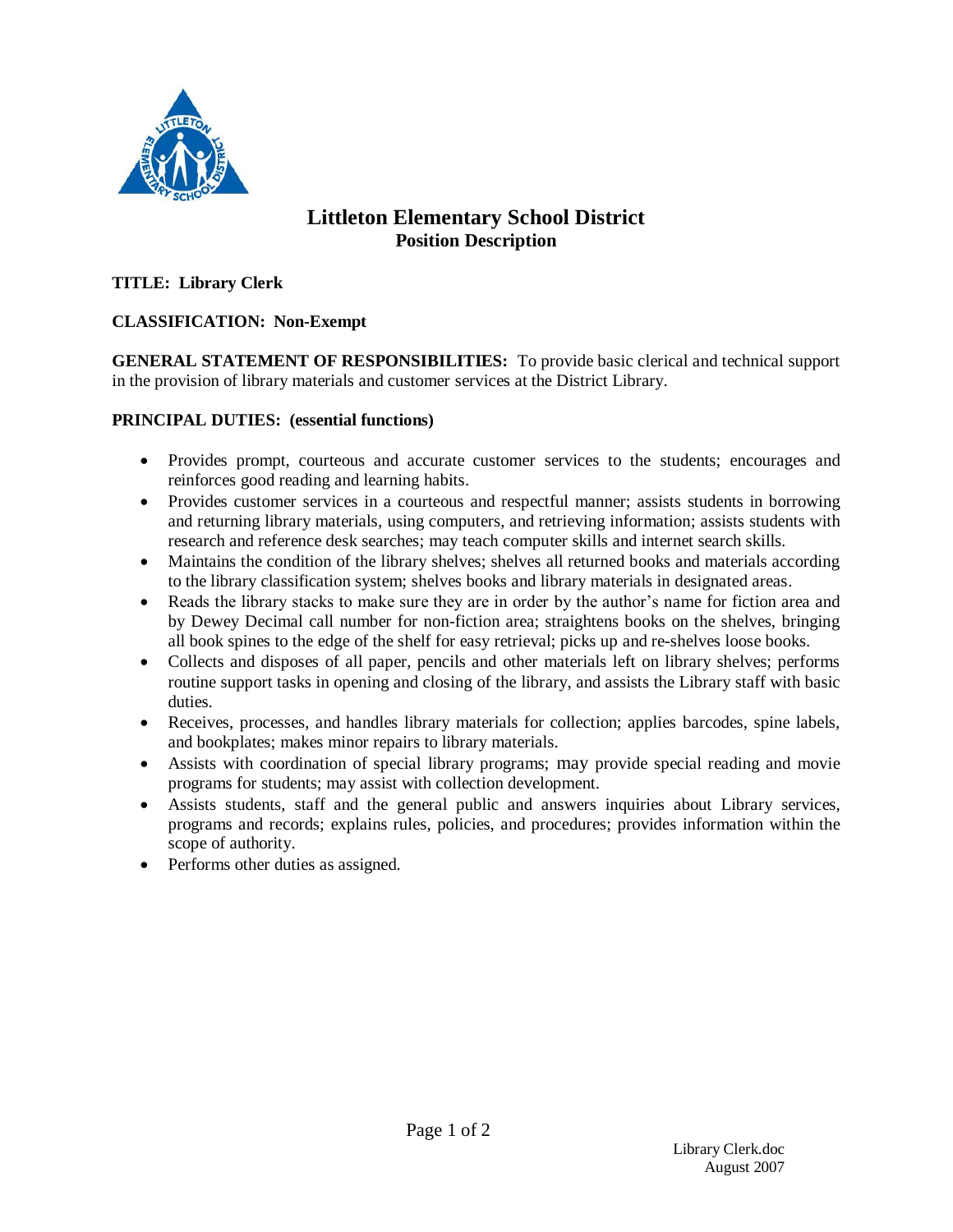

# **Littleton Elementary School District Position Description**

# **TITLE: Library Clerk**

# **CLASSIFICATION: Non-Exempt**

**GENERAL STATEMENT OF RESPONSIBILITIES:** To provide basic clerical and technical support in the provision of library materials and customer services at the District Library.

### **PRINCIPAL DUTIES: (essential functions)**

- Provides prompt, courteous and accurate customer services to the students; encourages and reinforces good reading and learning habits.
- Provides customer services in a courteous and respectful manner; assists students in borrowing and returning library materials, using computers, and retrieving information; assists students with research and reference desk searches; may teach computer skills and internet search skills.
- Maintains the condition of the library shelves; shelves all returned books and materials according to the library classification system; shelves books and library materials in designated areas.
- Reads the library stacks to make sure they are in order by the author's name for fiction area and by Dewey Decimal call number for non-fiction area; straightens books on the shelves, bringing all book spines to the edge of the shelf for easy retrieval; picks up and re-shelves loose books.
- Collects and disposes of all paper, pencils and other materials left on library shelves; performs routine support tasks in opening and closing of the library, and assists the Library staff with basic duties.
- Receives, processes, and handles library materials for collection; applies barcodes, spine labels, and bookplates; makes minor repairs to library materials.
- Assists with coordination of special library programs; may provide special reading and movie programs for students; may assist with collection development.
- Assists students, staff and the general public and answers inquiries about Library services, programs and records; explains rules, policies, and procedures; provides information within the scope of authority.
- Performs other duties as assigned.